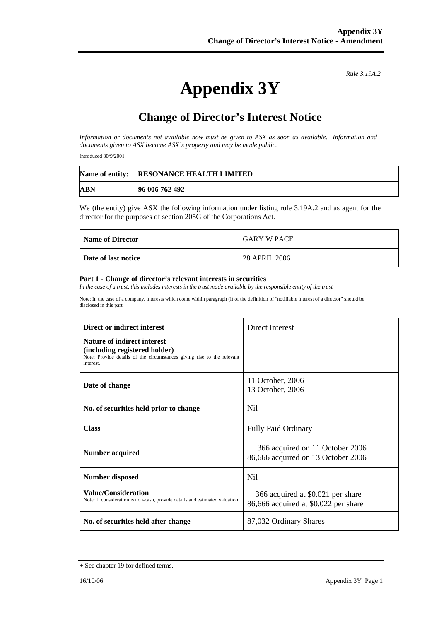*Rule 3.19A.2*

# **Appendix 3Y**

## **Change of Director's Interest Notice**

*Information or documents not available now must be given to ASX as soon as available. Information and documents given to ASX become ASX's property and may be made public.* 

Introduced 30/9/2001.

|     | Name of entity: RESONANCE HEALTH LIMITED |
|-----|------------------------------------------|
| ABN | 96 006 762 492                           |

We (the entity) give ASX the following information under listing rule 3.19A.2 and as agent for the director for the purposes of section 205G of the Corporations Act.

| <b>Name of Director</b> | <b>GARY W PACE</b> |
|-------------------------|--------------------|
| Date of last notice     | 28 APRIL 2006      |

#### **Part 1 - Change of director's relevant interests in securities**

*In the case of a trust, this includes interests in the trust made available by the responsible entity of the trust* 

Note: In the case of a company, interests which come within paragraph (i) of the definition of "notifiable interest of a director" should be disclosed in this part.

| Direct or indirect interest                                                                                                                                | Direct Interest                                                           |
|------------------------------------------------------------------------------------------------------------------------------------------------------------|---------------------------------------------------------------------------|
| <b>Nature of indirect interest</b><br>(including registered holder)<br>Note: Provide details of the circumstances giving rise to the relevant<br>interest. |                                                                           |
| Date of change                                                                                                                                             | 11 October, 2006<br>13 October, 2006                                      |
| No. of securities held prior to change                                                                                                                     | N <sub>il</sub>                                                           |
| <b>Class</b>                                                                                                                                               | <b>Fully Paid Ordinary</b>                                                |
| Number acquired                                                                                                                                            | 366 acquired on 11 October 2006<br>86,666 acquired on 13 October 2006     |
| Number disposed                                                                                                                                            | N <sub>il</sub>                                                           |
| <b>Value/Consideration</b><br>Note: If consideration is non-cash, provide details and estimated valuation                                                  | 366 acquired at \$0.021 per share<br>86,666 acquired at \$0.022 per share |
| No. of securities held after change                                                                                                                        | 87,032 Ordinary Shares                                                    |

<sup>+</sup> See chapter 19 for defined terms.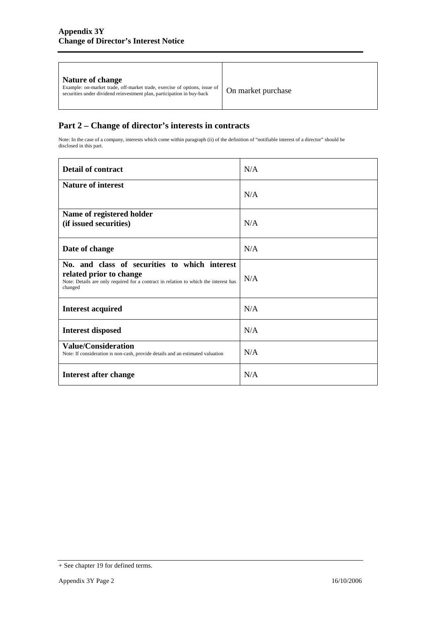| On market purchase<br>securities under dividend reinvestment plan, participation in buy-back |
|----------------------------------------------------------------------------------------------|
|----------------------------------------------------------------------------------------------|

### **Part 2 – Change of director's interests in contracts**

Note: In the case of a company, interests which come within paragraph (ii) of the definition of "notifiable interest of a director" should be disclosed in this part.

| <b>Detail of contract</b>                                                                                                                                                   | N/A |
|-----------------------------------------------------------------------------------------------------------------------------------------------------------------------------|-----|
| <b>Nature of interest</b>                                                                                                                                                   | N/A |
| Name of registered holder<br>(if issued securities)                                                                                                                         | N/A |
| Date of change                                                                                                                                                              | N/A |
| No. and class of securities to which interest<br>related prior to change<br>Note: Details are only required for a contract in relation to which the interest has<br>changed | N/A |
| <b>Interest acquired</b>                                                                                                                                                    | N/A |
| <b>Interest disposed</b>                                                                                                                                                    | N/A |
| <b>Value/Consideration</b><br>Note: If consideration is non-cash, provide details and an estimated valuation                                                                | N/A |
| Interest after change                                                                                                                                                       | N/A |

<sup>+</sup> See chapter 19 for defined terms.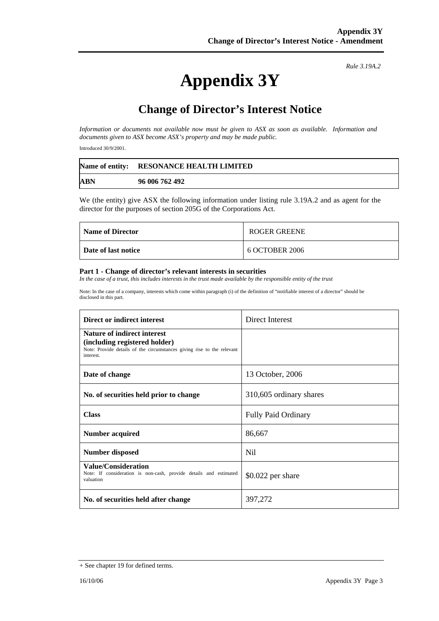# **Appendix 3Y**

*Rule 3.19A.2*

## **Change of Director's Interest Notice**

*Information or documents not available now must be given to ASX as soon as available. Information and documents given to ASX become ASX's property and may be made public.* 

Introduced 30/9/2001.

|            | Name of entity: RESONANCE HEALTH LIMITED |
|------------|------------------------------------------|
| <b>ABN</b> | 96 006 762 492                           |

We (the entity) give ASX the following information under listing rule 3.19A.2 and as agent for the director for the purposes of section 205G of the Corporations Act.

| <b>Name of Director</b> | ROGER GREENE   |
|-------------------------|----------------|
| Date of last notice     | 6 OCTOBER 2006 |

#### **Part 1 - Change of director's relevant interests in securities**

In the case of a trust, this includes interests in the trust made available by the responsible entity of the trust

Note: In the case of a company, interests which come within paragraph (i) of the definition of "notifiable interest of a director" should be disclosed in this part.

| Direct or indirect interest                                                                                                                                | Direct Interest            |
|------------------------------------------------------------------------------------------------------------------------------------------------------------|----------------------------|
| <b>Nature of indirect interest</b><br>(including registered holder)<br>Note: Provide details of the circumstances giving rise to the relevant<br>interest. |                            |
| Date of change                                                                                                                                             | 13 October, 2006           |
| No. of securities held prior to change                                                                                                                     | 310,605 ordinary shares    |
| <b>Class</b>                                                                                                                                               | <b>Fully Paid Ordinary</b> |
| Number acquired                                                                                                                                            | 86,667                     |
| <b>Number disposed</b>                                                                                                                                     | Nil.                       |
| <b>Value/Consideration</b><br>Note: If consideration is non-cash, provide details and estimated<br>valuation                                               | $$0.022$ per share         |
| No. of securities held after change                                                                                                                        | 397,272                    |

<sup>+</sup> See chapter 19 for defined terms.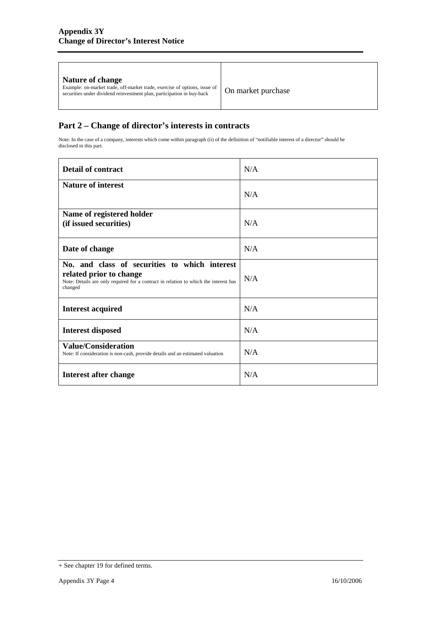### **Part 2 – Change of director's interests in contracts**

Note: In the case of a company, interests which come within paragraph (ii) of the definition of "notifiable interest of a director" should be disclosed in this part.

| <b>Detail of contract</b>                                                                                                                                                   | N/A |
|-----------------------------------------------------------------------------------------------------------------------------------------------------------------------------|-----|
| <b>Nature of interest</b>                                                                                                                                                   | N/A |
| Name of registered holder<br>(if issued securities)                                                                                                                         | N/A |
| Date of change                                                                                                                                                              | N/A |
| No. and class of securities to which interest<br>related prior to change<br>Note: Details are only required for a contract in relation to which the interest has<br>changed | N/A |
| <b>Interest acquired</b>                                                                                                                                                    | N/A |
| <b>Interest disposed</b>                                                                                                                                                    | N/A |
| <b>Value/Consideration</b><br>Note: If consideration is non-cash, provide details and an estimated valuation                                                                | N/A |
| Interest after change                                                                                                                                                       | N/A |

<sup>+</sup> See chapter 19 for defined terms.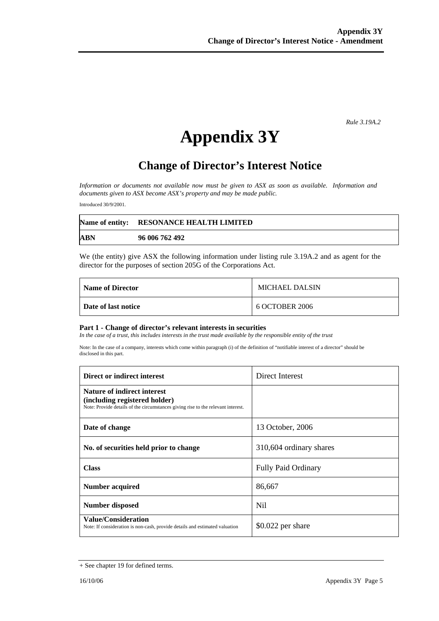*Rule 3.19A.2*

# **Appendix 3Y**

## **Change of Director's Interest Notice**

*Information or documents not available now must be given to ASX as soon as available. Information and documents given to ASX become ASX's property and may be made public.* 

Introduced 30/9/2001.

|            | Name of entity: RESONANCE HEALTH LIMITED |
|------------|------------------------------------------|
| <b>ABN</b> | 96 006 762 492                           |

We (the entity) give ASX the following information under listing rule 3.19A.2 and as agent for the director for the purposes of section 205G of the Corporations Act.

| <b>Name of Director</b> | MICHAEL DALSIN |
|-------------------------|----------------|
| Date of last notice     | 6 OCTOBER 2006 |

#### **Part 1 - Change of director's relevant interests in securities**

In the case of a trust, this includes interests in the trust made available by the responsible entity of the trust

Note: In the case of a company, interests which come within paragraph (i) of the definition of "notifiable interest of a director" should be disclosed in this part.

| Direct or indirect interest                                                                                                                             | Direct Interest            |
|---------------------------------------------------------------------------------------------------------------------------------------------------------|----------------------------|
| <b>Nature of indirect interest</b><br>(including registered holder)<br>Note: Provide details of the circumstances giving rise to the relevant interest. |                            |
| Date of change                                                                                                                                          | 13 October, 2006           |
| No. of securities held prior to change                                                                                                                  | 310,604 ordinary shares    |
| <b>Class</b>                                                                                                                                            | <b>Fully Paid Ordinary</b> |
| Number acquired                                                                                                                                         | 86,667                     |
| Number disposed                                                                                                                                         | Nil                        |
| Value/Consideration<br>Note: If consideration is non-cash, provide details and estimated valuation                                                      | $$0.022$ per share         |

<sup>+</sup> See chapter 19 for defined terms.